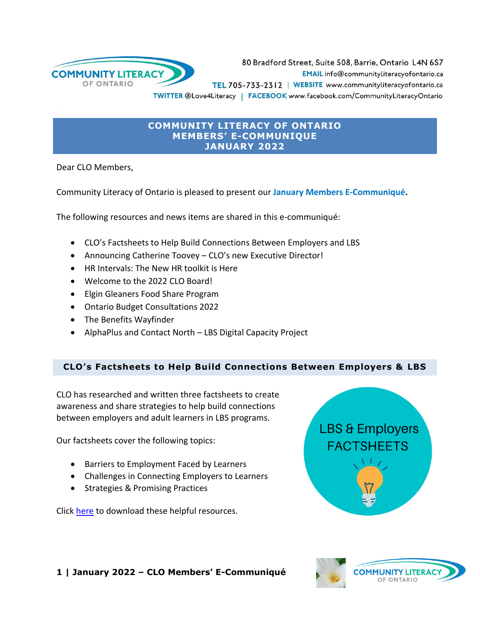

80 Bradford Street, Suite 508, Barrie, Ontario L4N 6S7 EMAIL info@communityliteracyofontario.ca TEL 705-733-2312 | WEBSITE www.communityliteracyofontario.ca TWITTER @Love4Literacy | FACEBOOK www.facebook.com/CommunityLiteracyOntario

### **COMMUNITY LITERACY OF ONTARIO MEMBERS' E-COMMUNIQUE JANUARY 2022**

Dear CLO Members,

Community Literacy of Ontario is pleased to present our **January Members E-Communiqué.**

The following resources and news items are shared in this e-communiqué:

- CLO's Factsheets to Help Build Connections Between Employers and LBS
- Announcing Catherine Toovey CLO's new Executive Director!
- HR Intervals: The New HR toolkit is Here
- Welcome to the 2022 CLO Board!
- Elgin Gleaners Food Share Program
- Ontario Budget Consultations 2022
- The Benefits Wayfinder
- AlphaPlus and Contact North LBS Digital Capacity Project

#### **CLO's Factsheets to Help Build Connections Between Employers & LBS**

CLO has researched and written three factsheets to create awareness and share strategies to help build connections between employers and adult learners in LBS programs.

Our factsheets cover the following topics:

- Barriers to Employment Faced by Learners
- Challenges in Connecting Employers to Learners
- Strategies & Promising Practices

Click [here](http://www.communityliteracyofontario.ca/resources/publications/#employment) to download these helpful resources.



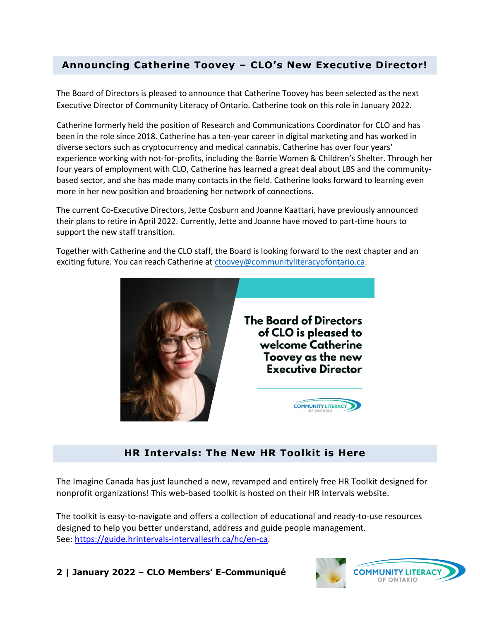# **Announcing Catherine Toovey – CLO's New Executive Director!**

The Board of Directors is pleased to announce that Catherine Toovey has been selected as the next Executive Director of Community Literacy of Ontario. Catherine took on this role in January 2022.

Catherine formerly held the position of Research and Communications Coordinator for CLO and has been in the role since 2018. Catherine has a ten-year career in digital marketing and has worked in diverse sectors such as cryptocurrency and medical cannabis. Catherine has over four years' experience working with not-for-profits, including the Barrie Women & Children's Shelter. Through her four years of employment with CLO, Catherine has learned a great deal about LBS and the communitybased sector, and she has made many contacts in the field. Catherine looks forward to learning even more in her new position and broadening her network of connections.

The current Co-Executive Directors, Jette Cosburn and Joanne Kaattari, have previously announced their plans to retire in April 2022. Currently, Jette and Joanne have moved to part-time hours to support the new staff transition.

Together with Catherine and the CLO staff, the Board is looking forward to the next chapter and an exciting future. You can reach Catherine a[t ctoovey@communityliteracyofontario.ca](mailto:ctoovey@communityliteracyofontario.ca).



## **HR Intervals: The New HR Toolkit is Here**

The Imagine Canada has just launched a new, revamped and entirely free HR Toolkit designed for nonprofit organizations! This web-based toolkit is hosted on their HR Intervals website.

The toolkit is easy-to-navigate and offers a collection of educational and ready-to-use resources designed to help you better understand, address and guide people management. See: [https://guide.hrintervals-intervallesrh.ca/hc/en-ca.](https://guide.hrintervals-intervallesrh.ca/hc/en-ca)

**2 | January 2022 – CLO Members' E-Communiqué** 

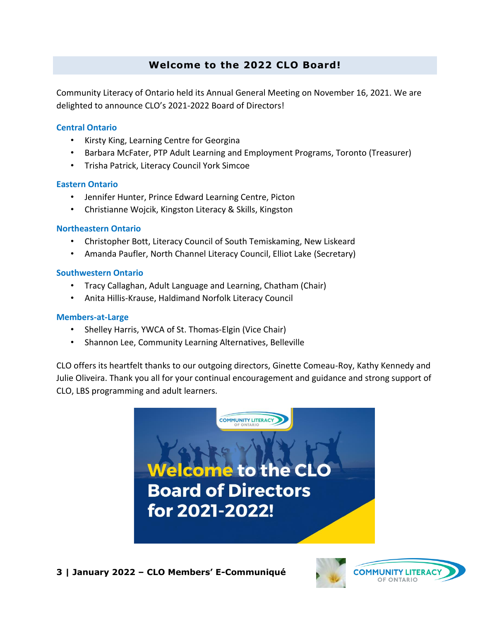# **Welcome to the 2022 CLO Board!**

Community Literacy of Ontario held its Annual General Meeting on November 16, 2021. We are delighted to announce CLO's 2021-2022 Board of Directors!

#### **Central Ontario**

- Kirsty King, Learning Centre for Georgina
- Barbara McFater, PTP Adult Learning and Employment Programs, Toronto (Treasurer)
- Trisha Patrick, Literacy Council York Simcoe

#### **Eastern Ontario**

- Jennifer Hunter, Prince Edward Learning Centre, Picton
- Christianne Wojcik, Kingston Literacy & Skills, Kingston

#### **Northeastern Ontario**

- Christopher Bott, Literacy Council of South Temiskaming, New Liskeard
- Amanda Paufler, North Channel Literacy Council, Elliot Lake (Secretary)

#### **Southwestern Ontario**

- Tracy Callaghan, Adult Language and Learning, Chatham (Chair)
- Anita Hillis-Krause, Haldimand Norfolk Literacy Council

#### **Members-at-Large**

- Shelley Harris, YWCA of St. Thomas-Elgin (Vice Chair)
- Shannon Lee, Community Learning Alternatives, Belleville

CLO offers its heartfelt thanks to our outgoing directors, Ginette Comeau-Roy, Kathy Kennedy and Julie Oliveira. Thank you all for your continual encouragement and guidance and strong support of CLO, LBS programming and adult learners.



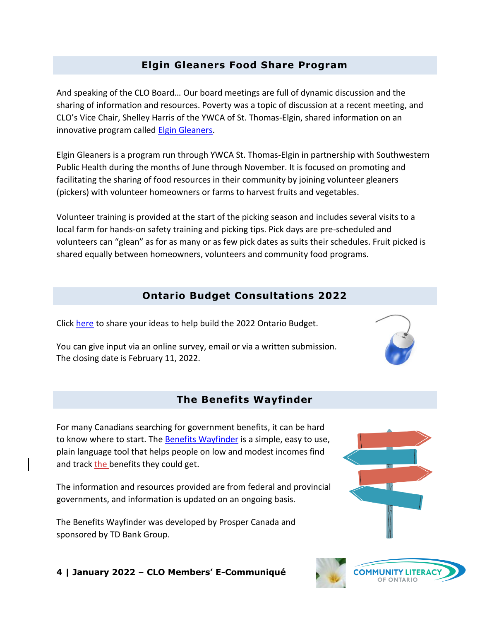## **Elgin Gleaners Food Share Program**

And speaking of the CLO Board… Our board meetings are full of dynamic discussion and the sharing of information and resources. Poverty was a topic of discussion at a recent meeting, and CLO's Vice Chair, Shelley Harris of the YWCA of St. Thomas-Elgin, shared information on an innovative program called [Elgin Gleaners.](https://ywcaste.ca/elgin-gleaners/)

Elgin Gleaners is a program run through YWCA St. Thomas-Elgin in partnership with Southwestern Public Health during the months of June through November. It is focused on promoting and facilitating the sharing of food resources in their community by joining volunteer gleaners (pickers) with volunteer homeowners or farms to harvest fruits and vegetables.

Volunteer training is provided at the start of the picking season and includes several visits to a local farm for hands-on safety training and picking tips. Pick days are pre-scheduled and volunteers can "glean" as for as many or as few pick dates as suits their schedules. Fruit picked is shared equally between homeowners, volunteers and community food programs.

## **Ontario Budget Consultations 2022**

Click [here](https://www.ontario.ca/page/2022-budget-consultations) to share your ideas to help build the 2022 Ontario Budget.

You can give input via an online survey, email or via a written submission. The closing date is February 11, 2022.

## **The Benefits Wayfinder**

For many Canadians searching for government benefits, it can be hard to know where to start. The [Benefits Wayfinder](https://benefitswayfinder.org/) is a simple, easy to use, plain language tool that helps people on low and modest incomes find and track the benefits they could get.

The information and resources provided are from federal and provincial governments, and information is updated on an ongoing basis.

The Benefits Wayfinder was developed by Prosper Canada and sponsored by TD Bank Group.

#### **4 | January 2022 – CLO Members' E-Communiqué**